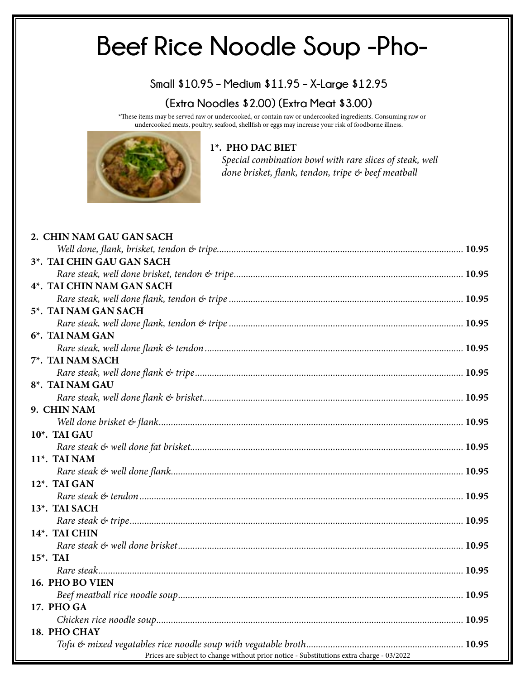# **Beef Rice Noodle Soup -Pho-**

#### **Small \$10.95 – Medium \$11.95 – X-Large \$12.95**

#### **(Extra Noodles \$2.00) (Extra Meat \$3.00)**

\*These items may be served raw or undercooked, or contain raw or undercooked ingredients. Consuming raw or undercooked meats, poultry, seafood, shellfish or eggs may increase your risk of foodborne illness.



#### **1\*. PHO DAC BIET**

 *Special combination bowl with rare slices of steak, well done brisket, flank, tendon, tripe & beef meatball*

| 2. CHIN NAM GAU GAN SACH                                                                 |  |
|------------------------------------------------------------------------------------------|--|
|                                                                                          |  |
| 3*. TAI CHIN GAU GAN SACH                                                                |  |
|                                                                                          |  |
| 4*. TAI CHIN NAM GAN SACH                                                                |  |
|                                                                                          |  |
| 5*. TAI NAM GAN SACH                                                                     |  |
|                                                                                          |  |
| 6*. TAI NAM GAN                                                                          |  |
|                                                                                          |  |
| 7*. TAI NAM SACH                                                                         |  |
|                                                                                          |  |
| 8 <sup>*</sup> . TAI NAM GAU                                                             |  |
|                                                                                          |  |
| 9. CHIN NAM                                                                              |  |
|                                                                                          |  |
| 10*. TAI GAU                                                                             |  |
|                                                                                          |  |
| 11 <sup>*</sup> . TAI NAM                                                                |  |
|                                                                                          |  |
| 12*. TAI GAN                                                                             |  |
|                                                                                          |  |
| 13*. TAI SACH                                                                            |  |
|                                                                                          |  |
| 14*. TAI CHIN                                                                            |  |
|                                                                                          |  |
| $15^*$ . TAI                                                                             |  |
|                                                                                          |  |
| 16. PHO BO VIEN                                                                          |  |
|                                                                                          |  |
| 17. PHO GA                                                                               |  |
|                                                                                          |  |
| 18. PHO CHAY                                                                             |  |
|                                                                                          |  |
| Prices are subject to change without prior notice - Substitutions extra charge - 03/2022 |  |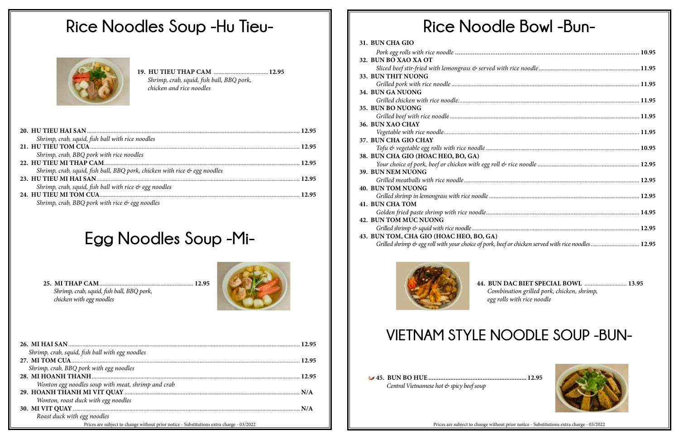| Shrimp, crab, squid, fish ball with rice noodles                          |  |
|---------------------------------------------------------------------------|--|
|                                                                           |  |
| Shrimp, crab, BBQ pork with rice noodles                                  |  |
|                                                                           |  |
| Shrimp, crab, squid, fish ball, BBQ pork, chicken with rice & egg noodles |  |
|                                                                           |  |
| Shrimp, crab, squid, fish ball with rice $\mathfrak{S}$ egg noodles       |  |
|                                                                           |  |
| Shrimp, crab, BBQ pork with rice $\phi$ egg noodles                       |  |

# **Rice Noodle Bowl -Bun-**

| 31. BUN CHA GIO                                                                                    |  |
|----------------------------------------------------------------------------------------------------|--|
|                                                                                                    |  |
| 32. BUN BO XAO XA OT                                                                               |  |
|                                                                                                    |  |
| 33. BUN THIT NUONG                                                                                 |  |
|                                                                                                    |  |
| 34. BUN GA NUONG                                                                                   |  |
|                                                                                                    |  |
| 35. BUN BO NUONG                                                                                   |  |
|                                                                                                    |  |
| 36. BUN XAO CHAY                                                                                   |  |
|                                                                                                    |  |
| 37. BUN CHA GIO CHAY                                                                               |  |
|                                                                                                    |  |
| 38. BUN CHA GIO (HOAC HEO, BO, GA)                                                                 |  |
|                                                                                                    |  |
| 39. BUN NEM NUONG                                                                                  |  |
|                                                                                                    |  |
| <b>40. BUN TOM NUONG</b>                                                                           |  |
|                                                                                                    |  |
| <b>41. BUN CHA TOM</b>                                                                             |  |
|                                                                                                    |  |
| <b>42. BUN TOM MUC NUONG</b>                                                                       |  |
|                                                                                                    |  |
| 43. BUN TOM, CHA GIO (HOAC HEO, BO, GA)                                                            |  |
| Grilled shrimp & egg roll with your choice of pork, beef or chicken served with rice noodles 12.95 |  |
|                                                                                                    |  |



# **Rice Noodles Soup -Hu Tieu-**



**19. HU TIEU THAP CAM** *...................................***12.95** *Shrimp, crab, squid, fish ball, BBQ pork, chicken and rice noodles*

| Shrimp, crab, squid, fish ball with egg noodles                                          |  |
|------------------------------------------------------------------------------------------|--|
|                                                                                          |  |
| Shrimp, crab, BBQ pork with egg noodles                                                  |  |
|                                                                                          |  |
| Wonton egg noodles soup with meat, shrimp and crab                                       |  |
|                                                                                          |  |
| Wonton, roast duck with egg noodles                                                      |  |
|                                                                                          |  |
| Roast duck with egg noodles                                                              |  |
| Prices are subject to change without prior notice - Substitutions extra charge - 03/2022 |  |

**25. MI THAP CAM***............................................................* **12.95** *Shrimp, crab, squid, fish ball, BBQ pork, chicken with egg noodles*



**44. BUN DAC BIET SPECIAL BOWL** *...........................* **13.95** *Combination grilled pork, chicken, shrimp, egg rolls with rice noodle*



# **VIETNAM STYLE NOODLE SOUP -BUN-**

**45. BUN BO HUE .......................................................... 12.95** *Central Vietnamese hot & spicy beef soup*

Prices are subject to change without prior notice - Substitutions extra charge - 03/2022

# **Egg Noodles Soup -Mi-**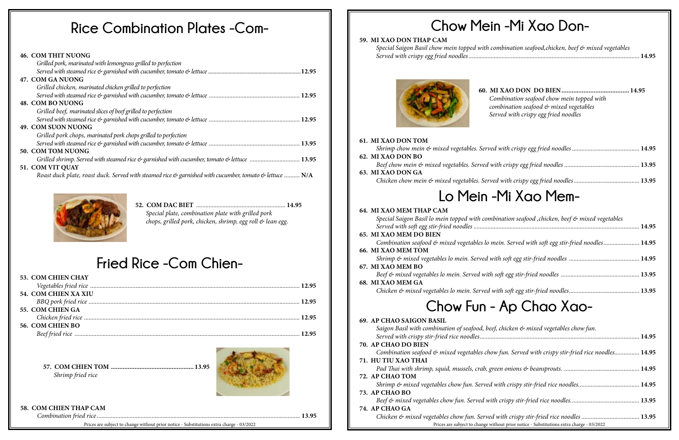#### **46. COM THIT NUONG**

| Grilled pork, marinated with lemongrass grilled to perfection                                                                     |  |
|-----------------------------------------------------------------------------------------------------------------------------------|--|
|                                                                                                                                   |  |
| 47. COM GA NUONG                                                                                                                  |  |
| Grilled chicken, marinated chicken grilled to perfection                                                                          |  |
|                                                                                                                                   |  |
| 48. COM BO NUONG                                                                                                                  |  |
| Grilled beef, marinated slices of beef grilled to perfection                                                                      |  |
|                                                                                                                                   |  |
| 49. COM SUON NUONG                                                                                                                |  |
| Grilled pork chops, marinated pork chops grilled to perfection                                                                    |  |
|                                                                                                                                   |  |
| 50. COM TOM NUONG                                                                                                                 |  |
| Grilled shrimp. Served with steamed rice & garnished with cucumber, tomato & lettuce  13.95                                       |  |
| 51. COM VIT QUAY                                                                                                                  |  |
| Roast duck plate, roast duck. Served with steamed rice $\mathfrak{G}$ garnished with cucumber, tomato $\mathfrak{G}$ lettuce  N/A |  |



# **Chow Mein -Mi Xao Don-**

#### **59. MI XAO DON THAP CAM**

**52. COM DAC BIET** *.........................................................* **14.95** *Special plate, combination plate with grilled pork chops, grilled pork, chicken, shrimp, egg roll & lean egg.*

**60. MI XAO DON DO BIEN........................................ 14.95**  *Combination seafood chow mein topped with combination seafood & mixed vegetables Served with crispy egg fried noodles*

| Mi Xao Mem- |  |
|-------------|--|
|             |  |
|             |  |
|             |  |

| aation seafood ,chicken, beef & mixed vegetables  |  |
|---------------------------------------------------|--|
| in. Served with soft egg stir-fried noodles 14.95 |  |
|                                                   |  |
|                                                   |  |
|                                                   |  |
|                                                   |  |

| chicken & mixed vegetables chow fun.                    |  |
|---------------------------------------------------------|--|
|                                                         |  |
| fun. Served with crispy stir-fried rice noodles 14.95   |  |
|                                                         |  |
|                                                         |  |
|                                                         |  |
| out prior notice - Substitutions extra charge - 03/2022 |  |

## **Fried Rice -Com Chien-**

| <b>53. COM CHIEN CHAY</b> |  |
|---------------------------|--|
|                           |  |
| 54. COM CHIEN XA XIU      |  |
|                           |  |
| 55. COM CHIEN GA          |  |
|                           |  |
| 56. COM CHIEN BO          |  |
|                           |  |

### *Shrimp chow mein & mixed vegetables. Served v* **62. MI XAO DON BO**  *Beef chow mein & mixed vegetables. Served with* **63. MI XAO DON GA**  *Chicken chow mein & mixed vegetables. Served* **Lo Mein -Mi Xao Mem-64. MI XAO MEM THAP CAM** Special Saigon Basil lo mein topped with combin *Served with soft egg stir-fried noodles ................* **65. MI XAO MEM DO BIEN**  *Combination seafood & mixed vegetables lo mei* **66. MI XAO MEM TOM**  *Shrimp & mixed vegetables lo mein. Served with* **67. MI XAO MEM BO**  *Beef & mixed vegetables lo mein. Served with so* **68. MI XAO MEM GA**  *Chicken & mixed vegetables lo mein. Served with* **Chow Fun - Ap Chao Xao-69. AP CHAO SAIGON BASIL** Saigon Basil with combination of seafood, beef, *Served with crispy stir-fried rice noodles......................................................................................................* **14.95 70. AP CHAO DO BIEN** *Combination seafood & mixed vegetables chow* **71. HU TIU XAO THAI**  *Pad Thai with shrimp, squid, mussels, crab, gree.* **72. AP CHAO TOM**

*Shrimp & mixed vegetables chow fun. Served with stir-friend rice noidles...* **73. AP CHAO BO** 

*Beef & mixed vegetables chow fun. Served with* 

**57. COM CHIEN TOM ................................................. 13.95**  *Shrimp fried rice* 



#### **58. COM CHIEN THAP CAM**

*Combination fried rice ..................................................................................................................................* **13.95**

#### Prices are subject to change without prior notice - Substitutions extra charge - 03/2022 Prices are subject to change without prior notice - Substitutions extra charge - 03/2022

**61. MI XAO DON TOM** 

Special Saigon Basil chow mein topped with com *Served with crispy egg fried noodles.....................* 



#### **74. AP CHAO GA**

*Chicken & mixed vegetables chow fun. Served w* 

| ibination seafood,chicken, beef & mixed vegetables |  |
|----------------------------------------------------|--|
|                                                    |  |

# **Rice Combination Plates -Com-**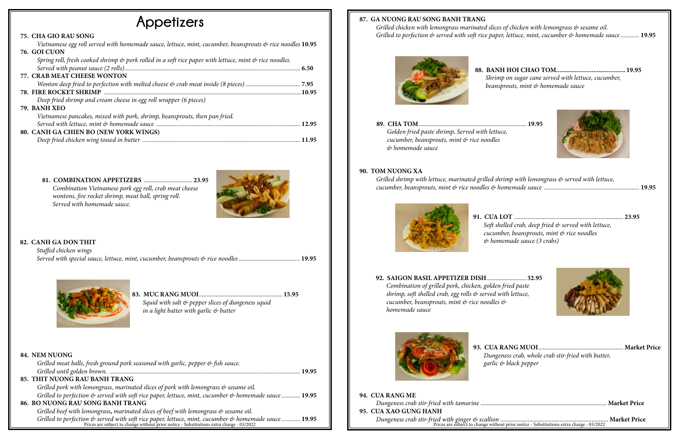**81. COMBINATION APPETIZERS** ................................ **23.95** *Combination Vietnamese pork egg roll, crab meat cheese wontons, fire rocket shrimp, meat ball, spring roll. Served with homemade sauce.*



| Squid with salt & pepper slices of dungeness squid  |  |
|-----------------------------------------------------|--|
| in a light batter with garlic $\mathfrak{G}$ butter |  |

**88. BANH HOI CHAO TOM......................................... 19.95**  *Shrimp on sugar cane served with lettuce, cucumber, beansprouts, mint & homemade sauce*



| irimp with lemongrass & served with lettuce, |  |  |  |
|----------------------------------------------|--|--|--|
|                                              |  |  |  |

## **Appetizers**

#### **75. CHA GIO RAU SONG**

| Vietnamese egg roll served with homemade sauce, lettuce, mint, cucumber, beansprouts $\mathfrak{G}$ rice noodles 10.95 |                                                                                                              |  |
|------------------------------------------------------------------------------------------------------------------------|--------------------------------------------------------------------------------------------------------------|--|
|                                                                                                                        | 76. GOI CUON                                                                                                 |  |
|                                                                                                                        | Spring roll, fresh cooked shrimp $\&$ pork rolled in a soft rice paper with lettuce, mint $\&$ rice noodles. |  |
|                                                                                                                        |                                                                                                              |  |
|                                                                                                                        | 77. CRAB MEAT CHEESE WONTON                                                                                  |  |
|                                                                                                                        |                                                                                                              |  |
|                                                                                                                        |                                                                                                              |  |
|                                                                                                                        | Deep fried shrimp and cream cheese in egg roll wrapper (6 pieces)                                            |  |
|                                                                                                                        | 79. BANH XEO                                                                                                 |  |
|                                                                                                                        | Vietnamese pancakes, mixed with pork, shrimp, beansprouts, then pan fried.                                   |  |
|                                                                                                                        |                                                                                                              |  |
|                                                                                                                        | 80. CANH GA CHIEN BO (NEW YORK WINGS)                                                                        |  |
|                                                                                                                        |                                                                                                              |  |
|                                                                                                                        |                                                                                                              |  |

### **87. GA NUONG RAU SONG BANH TRANG**

*Grilled chicken with lemongrass marinated slices of chicken with lemongrass & sesame oil. Grilled to perfection & served with soft rice paper, lettuce, mint, cucumber & homemade sauce ............* **19.95**



#### **82. CANH GA DON THIT**

Grilled to perfection & served with soft rice paper, lettuce, mint, cucumber & homemade sauce ............ 19.95<br>Prices are subject to change without prior notice - Substitutions extra charge - 03/2022 **94. CUA RANG ME**  *Dungeness crab stir-fried with tamarine* ................................................................................... **Market Price 95. CUA XAO GUNG HANH** *Dungeness crab stir-fried with ginger & scallion* ....................................................................... **Market Price**

| Stuffed chicken wings |  |
|-----------------------|--|
|                       |  |



#### **84. NEM NUONG**

| Grilled meat balls, fresh ground pork seasoned with garlic, pepper & fish sauce.                                                                                                                                                  |  |
|-----------------------------------------------------------------------------------------------------------------------------------------------------------------------------------------------------------------------------------|--|
|                                                                                                                                                                                                                                   |  |
| 85. THIT NUONG RAU BANH TRANG                                                                                                                                                                                                     |  |
| Grilled pork with lemongrass, marinated slices of pork with lemongrass & sesame oil.                                                                                                                                              |  |
| Grilled to perfection & served with soft rice paper, lettuce, mint, cucumber & homemade sauce  19.95                                                                                                                              |  |
| 86. BO NUONG RAU SONG BANH TRANG                                                                                                                                                                                                  |  |
| Grilled beef with lemongrass, marinated slices of beef with lemongrass $\mathfrak{G}$ sesame oil.                                                                                                                                 |  |
| $\alpha$ at the contract of the contract of the contract of the contract of the contract of the contract of the contract of the contract of the contract of the contract of the contract of the contract of the contract of the c |  |

**89. CHA TOM**....................................................................... **19.95**  *Golden fried paste shrimp***.** *Served with lettuce,* 

*cucumber, beansprouts, mint & rice noodles & homemade sauce*

#### **90. TOM NUONG XA**

*Grilled shrimp with lettuce, marinated grilled sh cucumber, beansprouts, mint & rice noodles & h* 



**91. CUA LOT** ........................................................................ **23.95**  *Soft shelled crab, deep fried & served with lettuce, cucumber, beansprouts, mint & rice noodles & homemade sauce (3 crabs)*



#### **92. SAIGON BASIL APPETIZER DISH**.......................... **32.95**  *Combination of grilled pork, chicken, golden fried paste shrimp, soft shelled crab, egg rolls & served with lettuce, cucumber, beansprouts, mint & rice noodles & homemade sauce*



**93. CUA RANG MUOI**........................................................ **Market Price**  *Dungeness crab, whole crab stir-fried with butter, garlic & black pepper*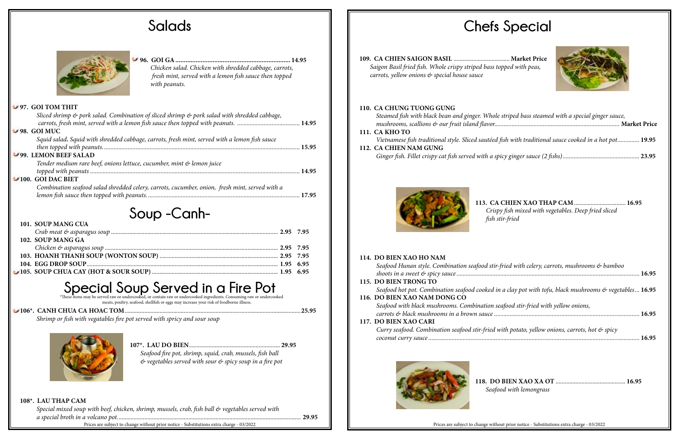# **Salads Chefs Special**



| striped bass steamed with a special ginger sauce,     |  |
|-------------------------------------------------------|--|
| fish with traditional sauce cooked in a hot pot 19.95 |  |
|                                                       |  |

| 102. SOUP MANG GA |  |
|-------------------|--|
|                   |  |
|                   |  |
|                   |  |
|                   |  |

# Special Soup Served raw or undercooked, or contain raw or undercooked ingredients. Consuming raw or undercooked

*Vietnamese fish traditional style. Sliced sautéed* **112. CA CHIEN NAM GUNG** 

*Ginger fish. Fillet crispy cat fish served with a sp* 



#### **106\*. CANH CHUA CA HOAC TOM**....................................................................................................................**25.95**

*Shrimp or fish with vegatables fire pot served with spricy and sour soup*



**109. CA CHIEN SAIGON BASIL** ..................................... **Market Price**  *Saigon Basil fried fish. Whole crispy striped bass topped with peas, carrots, yellow onions & special house sauce*

| Seafood fire pot, shrimp, squid, crab, mussels, fish ball                        |  |
|----------------------------------------------------------------------------------|--|
| $\mathcal{O}$ vegetables served with sour $\mathcal{O}$ spicy soup in a fire pot |  |

#### **110. CA CHUNG TUONG GUNG**

*Steamed fish with black bean and ginger. Whole mushrooms, scallions & our fruit island flavor...* 

#### **111. CA KHO TO**



**96. GOI GA.................................................................... 14.95**

*Chicken salad. Chicken with shredded cabbage, carrots, fresh mint, served with a lemon fish sauce then topped with peanuts.*

#### **97. GOI TOM THIT**

| Sliced shrimp & pork salad. Combination of sliced shrimp & pork salad with shredded cabbage,   |       |
|------------------------------------------------------------------------------------------------|-------|
|                                                                                                |       |
| $-98.$ GOI MUC                                                                                 |       |
| Squid salad. Squid with shredded cabbage, carrots, fresh mint, served with a lemon fish sauce  |       |
|                                                                                                |       |
| 99. LEMON BEEF SALAD                                                                           |       |
| Tender medium rare beef, onions lettuce, cucumber, mint & lemon juice                          |       |
|                                                                                                | 14.95 |
| $\blacktriangleright$ 100. GOI DAC BIET                                                        |       |
| Combination seafood salad shredded celery, carrots, cucumber, onion, fresh mint, served with a |       |
|                                                                                                |       |
|                                                                                                |       |

## **Soup -Canh-**

**113. CA CHIEN XAO THAP CAM**.................................. **16.95**  *Crispy fish mixed with vegetables. Deep fried sliced fish stir-fried*

| fried with celery, carrots, mushrooms & bamboo           |  |
|----------------------------------------------------------|--|
| a clay pot with tofu, black mushrooms & vegetables 16.95 |  |
| afood stir-fried with yellow onions,                     |  |
| vith potato, yellow onions, carrots, hot & spicy         |  |

| od with lemongrass |  |
|--------------------|--|

### **114. DO BIEN XAO HO NAM**  *Seafood Hunan style. Combination seafood stir-fried with celery, carrots, mushrooms & bamboo shoots in a sweet & spicy sauce .....................................................................................................................* **16.95 115. DO BIEN TRONG TO**  *Seafood hot pot. Combination seafood cooked in* **116. DO BIEN XAO NAM DONG CO** *Seafood with black mushrooms. Combination seafood with black mushrooms. carrots & black mushrooms in a brown sauce* .... **117. DO BIEN XAO CARI**  *Curry seafood. Combination seafood stir-fried w coconut curry sauce .......................................................................................................................................* **16.95**



118. DO *Seafo* 

#### **108\*. LAU THAP CAM**

*Special mixed soup with beef, chicken, shrimp, mussels, crab, fish ball & vegetables served with a special broth in a volcano pot.*........................................................................................................................ **29.95**

Prices are subject to change without prior notice - Substitutions extra charge - 03/2022 **Priorical prior notice - Substitutions extra charge - 03/2022** Prices are subject to change without prior notice - Substitutions ext

meats, poultry, seafood, shellfish or eggs may increase your risk of foodborne illness.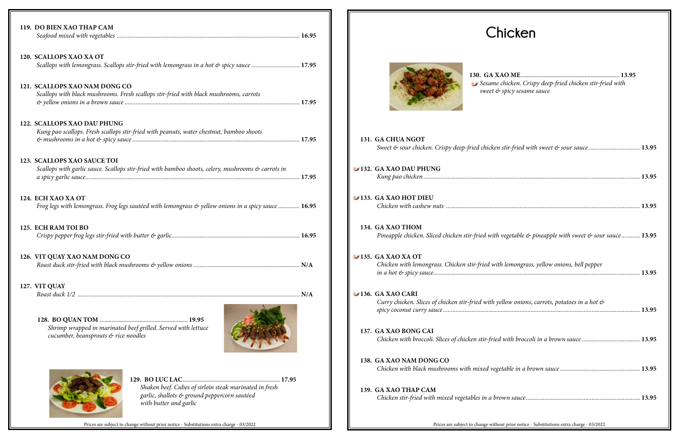**130. GA X** *Sesame chicken. Crispy deep-fried chicken stir-fried with sweet & spicy sesame sauce*

| 119. DO BIEN XAO THAP CAM                                                                                                         |  |
|-----------------------------------------------------------------------------------------------------------------------------------|--|
| 120. SCALLOPS XAO XA OT<br>Scallops with lemongrass. Scallops stir-fried with lemongrass in a hot & spicy sauce  17.95            |  |
| 121. SCALLOPS XAO NAM DONG CO<br>Scallops with black mushrooms. Fresh scallops stir-fried with black mushrooms, carrots           |  |
| 122. SCALLOPS XAO DAU PHUNG<br>Kung pao scallops. Fresh scallops stir-fried with peanuts, water chestnut, bamboo shoots           |  |
| 123. SCALLOPS XAO SAUCE TOI<br>Scallops with garlic sauce. Scallops stir-fried with bamboo shoots, celery, mushrooms & carrots in |  |
| 124. ECH XAO XA OT<br>Frog legs with lemongrass. Frog legs sautéed with lemongrass & yellow onions in a spicy sauce  16.95        |  |
| 125. ECH RAM TOI BO                                                                                                               |  |
| 126. VIT QUAY XAO NAM DONG CO                                                                                                     |  |
| 127. VIT QUAY                                                                                                                     |  |
| Shrimp wrapped in marinated beef grilled. Served with lettuce<br>cucumber, beansprouts & rice noodles                             |  |



| 131. GA CHUA NGOT<br>Sweet & sour chicken. Crispy deep-fried chicken stir-fried with sweet & sour sauce                                             |
|-----------------------------------------------------------------------------------------------------------------------------------------------------|
| 132. GA XAO DAU PHUNG                                                                                                                               |
| 133. GA XAO HOT DIEU                                                                                                                                |
| 134. GA XAO THOM<br>Pineapple chicken. Sliced chicken stir-fried with vegetable & pineapple with sweet & sour                                       |
| $\blacktriangleright$ 135. GA XAO XA OT<br>Chicken with lemongrass. Chicken stir-fried with lemongrass, yellow onions, bell pepper                  |
| $\blacktriangleright$ 136. GA XAO CARI<br>Curry chicken. Slices of chicken stir-fried with yellow onions, carrots, potatoes in a hot $\mathfrak{G}$ |
| 137. GA XAO BONG CAI<br>Chicken with broccoli. Slices of chicken stir-fried with broccoli in a brown sauce                                          |
| 138. GA XAO NAM DONG CO<br>Chicken with black mushrooms with mixed vegetable in a brown sauce                                                       |
| 139. GA XAO THAP CAM                                                                                                                                |
|                                                                                                                                                     |

| Sesame chicken. Crispy deep-fried chicken stir-fried with<br>sweet & spicy sesame sauce                   |
|-----------------------------------------------------------------------------------------------------------|
|                                                                                                           |
|                                                                                                           |
|                                                                                                           |
| <b>GA CHUA NGOT</b>                                                                                       |
| Sweet & sour chicken. Crispy deep-fried chicken stir-fried with sweet & sour sauce  13.95                 |
| <b>GA XAO DAU PHUNG</b>                                                                                   |
|                                                                                                           |
|                                                                                                           |
| <b>GA XAO HOT DIEU</b>                                                                                    |
|                                                                                                           |
| <b>GA XAO THOM</b>                                                                                        |
| Pineapple chicken. Sliced chicken stir-fried with vegetable & pineapple with sweet & sour sauce 13.95     |
| <b>GA XAO XA OT</b>                                                                                       |
| Chicken with lemongrass. Chicken stir-fried with lemongrass, yellow onions, bell pepper                   |
|                                                                                                           |
| <b>GA XAO CARI</b>                                                                                        |
| Curry chicken. Slices of chicken stir-fried with yellow onions, carrots, potatoes in a hot $\mathfrak{G}$ |
|                                                                                                           |
| <b>GA XAO BONG CAI</b>                                                                                    |
| Chicken with broccoli. Slices of chicken stir-fried with broccoli in a brown sauce  13.95                 |
| <b>GA XAO NAM DONG CO</b>                                                                                 |
|                                                                                                           |
|                                                                                                           |
| <b>GA XAO THAP CAM</b>                                                                                    |
|                                                                                                           |
| Prices are subject to change without prior potice. Substitutions extra charge 03/2022                     |

**129. BO LUC LAC**................................................................ **17.95** *Shaken beef. Cubes of sirloin steak marinated in fresh garlic, shallots & ground peppercorn sautéed* 

Prices are subject to change without prior notice - Substitutions extra charge - 03/2022 Prices are subject to change without prior notice - Substitutions extra charge - 03/2022

*with butter and garlic*



# **Chicken**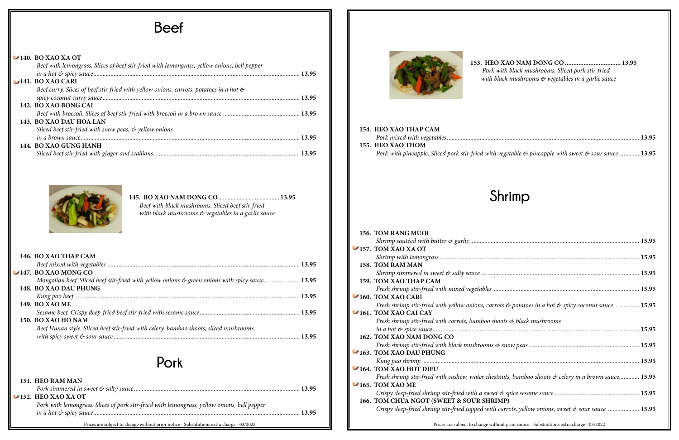| Beef with lemongrass. Slices of beef stir-fried with lemongrass, yellow onions, bell pepper |  |
|---------------------------------------------------------------------------------------------|--|
|                                                                                             |  |
| $-141.$ BO XAO CARI                                                                         |  |
| Beef curry. Slices of beef stir-fried with yellow onions, carrots, potatoes in a hot &      |  |
|                                                                                             |  |
| 142. BO XAO BONG CAI                                                                        |  |
|                                                                                             |  |
| 143. BO XAO DAU HOA LAN                                                                     |  |
| Sliced beef stir-fried with snow peas, & yellow onions                                      |  |
|                                                                                             |  |
| 144. BO XAO GUNG HANH                                                                       |  |
|                                                                                             |  |
|                                                                                             |  |



**153. HEO XAO NAM DONG CO ................................. 13.95** *Pork with black mushrooms. Sliced pork stir-fried with black mushrooms & vegetables in a garlic sauce*

| 151. HEO RAM MAN                                                                                                                                                            | rresh shrimp sur-fried with cashew, water chestr                                                                                                                                         |
|-----------------------------------------------------------------------------------------------------------------------------------------------------------------------------|------------------------------------------------------------------------------------------------------------------------------------------------------------------------------------------|
| $\ldots$ 13.95<br>$\blacktriangleright$ 152. HEO XAO XA OT<br>Pork with lemongrass. Slices of pork stir-fried with lemongrass, yellow onions, bell pepper<br>$\ldots$ 13.95 | $\blacktriangleright$ 165. TOM XAO ME<br>Crispy deep-fried shrimp stir-fried with a sweet<br>166. TOM CHUA NGOT (SWEET & SOUR SHRIN<br>Crispy deep-fried shrimp stir-fried topped with c |
| Prices are subject to change without prior notice - Substitutions extra charge - 03/2022                                                                                    | Prices are subject to change witho                                                                                                                                                       |

**154. HEO XAO THAP CAM**  *Pork mixed with vegetables...........................................................................................................................* **13.95 155. HEO XAO THOM**  *Pork with pineapple. Sliced pork stir-fried with v* 



| 146. BO XAO THAP CAM                                                                            |  |
|-------------------------------------------------------------------------------------------------|--|
|                                                                                                 |  |
| $\blacktriangleright$ 147. BO XAO MONG CO                                                       |  |
| Mongolian beef. Sliced beef stir-fried with yellow onions & green onions with spicy sauce 13.95 |  |
| 148. BO XAO DAU PHUNG                                                                           |  |
|                                                                                                 |  |
| <b>149. BO XAO ME</b>                                                                           |  |
|                                                                                                 |  |
| 150. BO XAO HO NAM                                                                              |  |
| Beef Hunan style. Sliced beef stir-fried with celery, bamboo shoots, sliced mushrooms           |  |
|                                                                                                 |  |
|                                                                                                 |  |

| Beef with black mushrooms. Sliced beef stir-fried   |  |
|-----------------------------------------------------|--|
| with black mushrooms & vegetables in a garlic sauce |  |

## **Pork**

# **Shrimp**

| 156. TOM RANG MUOI                                                                  |
|-------------------------------------------------------------------------------------|
|                                                                                     |
| 157. TOM XAO XA OT                                                                  |
|                                                                                     |
| 158. TOM RAM MAN                                                                    |
|                                                                                     |
| 159. TOM XAO THAP CAM                                                               |
|                                                                                     |
| 160. TOM XAO CARI                                                                   |
| Fresh shrimp stir-fried with yellow onions, carrots $\phi$ potatoes in a hot $\phi$ |
| 161. TOM XAO CAI CAY                                                                |
| Fresh shrimp stir-fried with carrots, bamboo shoots & black mushrooms               |
|                                                                                     |
| 162. TOM XAO NAM DONG CO                                                            |
| Fresh shrimp stir-fried with black mushrooms & snow peas                            |
| 163. TOM XAO DAU PHUNG                                                              |
|                                                                                     |
| 164. TOM XAO HOT DIEU                                                               |
| Fresh shrimp stir-fried with cashew, water chestnuts, bamboo shoots $\phi$ c        |
| $\blacksquare$ 165. TOM XAO ME                                                      |
| Crispy deep-fried shrimp stir-fried with a sweet $\mathfrak{G}$ spice sesame sauce  |
| 166. TOM CHUA NGOT (SWEET & SOUR SHRIMP)                                            |
| Crispy deep-fried shrimp stir-fried topped with carrots, yellow onions, si          |
|                                                                                     |
|                                                                                     |

| vegetable $\&$ pineapple with sweet $\&$ sour sauce  13.95 |  |
|------------------------------------------------------------|--|

| <b>TOM XAO XA OT</b>                                                                                                 |  |
|----------------------------------------------------------------------------------------------------------------------|--|
|                                                                                                                      |  |
| <b>TOM RAM MAN</b>                                                                                                   |  |
|                                                                                                                      |  |
| <b>TOM XAO THAP CAM</b>                                                                                              |  |
|                                                                                                                      |  |
| <b>TOM XAO CARI</b>                                                                                                  |  |
| Fresh shrimp stir-fried with yellow onions, carrots $\otimes$ potatoes in a hot $\otimes$ spicy coconut sauce  15.95 |  |
| <b>TOM XAO CAI CAY</b>                                                                                               |  |
| Fresh shrimp stir-fried with carrots, bamboo shoots & black mushrooms                                                |  |
|                                                                                                                      |  |
| <b>TOM XAO NAM DONG CO</b>                                                                                           |  |
|                                                                                                                      |  |
| <b>TOM XAO DAU PHUNG</b>                                                                                             |  |
|                                                                                                                      |  |
| <b>TOM XAO HOT DIEU</b>                                                                                              |  |
| Fresh shrimp stir-fried with cashew, water chestnuts, bamboo shoots & celery in a brown sauce 15.95                  |  |
| <b>TOM XAO ME</b>                                                                                                    |  |
|                                                                                                                      |  |
| <b>TOM CHUA NGOT (SWEET &amp; SOUR SHRIMP)</b>                                                                       |  |
| Crispy deep-fried shrimp stir-fried topped with carrots, yellow onions, sweet & sour sauce  15.95                    |  |
| Prices are subject to change without prior notice - Substitutions extra charge - 03/2022                             |  |

## **Beef**

#### **140. BO XAO XA OT**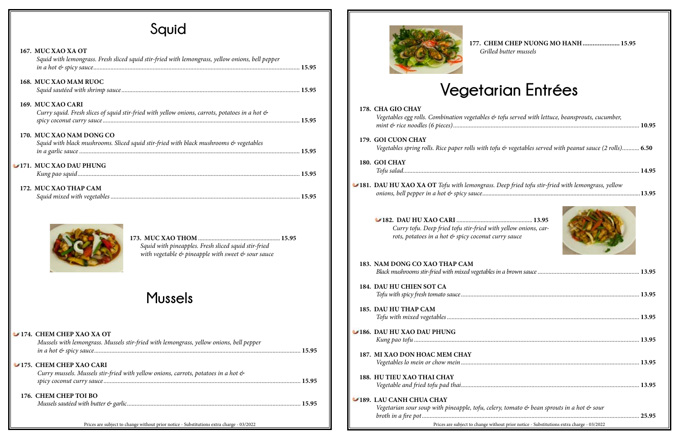# **Squid**

### **167. MUC XAO XA OT**

| Squid with lemongrass. Fresh sliced squid stir-fried with lemongrass, yellow onions, bell pepper   |  |
|----------------------------------------------------------------------------------------------------|--|
| 168. MUC XAO MAM RUOC                                                                              |  |
|                                                                                                    |  |
| 169. MUC XAO CARI                                                                                  |  |
| Curry squid. Fresh slices of squid stir-fried with yellow onions, carrots, potatoes in a hot &     |  |
|                                                                                                    |  |
| 170. MUC XAO NAM DONG CO                                                                           |  |
| Squid with black mushrooms. Sliced squid stir-fried with black mushrooms $\mathfrak{G}$ vegetables |  |
|                                                                                                    |  |
| 171. MUC XAO DAU PHUNG                                                                             |  |
|                                                                                                    |  |
|                                                                                                    |  |
| 172. MUC XAO THAP CAM                                                                              |  |
|                                                                                                    |  |



**173. MUC XAO THOM** ...................................................... **15.95**  *Squid with pineapples. Fresh sliced squid stir-fried with vegetable & pineapple with sweet & sour sauce*



#### **174. CHEM CHEP XAO XA OT**

| Mussels with lemongrass. Mussels stir-fried with lemongrass, yellow onions, bell pepper                       |       |
|---------------------------------------------------------------------------------------------------------------|-------|
| 175. CHEM CHEP XAO CARI<br>Curry mussels. Mussels stir-fried with yellow onions, carrots, potatoes in a hot & |       |
|                                                                                                               | 15.95 |
| 176. CHEM CHEP TOI BO                                                                                         |       |
|                                                                                                               |       |

Prices are subject to change without prior notice - Substitutions extra charge - 03/2022 Prices are subject to change without prior notice - Substitutions extra charge - 03/2022



**177. CHEM CHEP NUONG MO HANH...................... 15.95**  *Grilled butter mussels*

# **Vegetarian Entrées**

| Vegetables egg rolls. Combination vegetables $\mathfrak{G}$ tofu served with lettuce, beansprouts, cucumber, |  |
|--------------------------------------------------------------------------------------------------------------|--|
| <b>GOI CUON CHAY</b>                                                                                         |  |
| Vegetables spring rolls. Rice paper rolls with tofu $\&$ vegetables served with peanut sauce (2 rolls) 6.50  |  |
| <b>GOI CHAY</b>                                                                                              |  |
|                                                                                                              |  |
| DAU HU XAO XA OT Tofu with lemongrass. Deep fried tofu stir-fried with lemongrass, yellow                    |  |
|                                                                                                              |  |

| 178. CHA GIO CHAY<br>Vegetables egg rolls. Combination vegetables & tofu served with lettuce, beansprouts, cucumber,              |  |
|-----------------------------------------------------------------------------------------------------------------------------------|--|
| 179. GOI CUON CHAY<br>Vegetables spring rolls. Rice paper rolls with tofu $\&$ vegetables served with peanut sauce (2 rolls) 6.50 |  |
| 180. GOI CHAY                                                                                                                     |  |
| $\blacktriangleright$ 181. DAU HU XAO XA OT Tofu with lemongrass. Deep fried tofu stir-fried with lemongrass, yellow              |  |
| Curry tofu. Deep fried tofu stir-fried with yellow onions, car-<br>rots, potatoes in a hot & spicy coconut curry sauce            |  |
| 183. NAM DONG CO XAO THAP CAM                                                                                                     |  |
| 184. DAU HU CHIEN SOT CA                                                                                                          |  |
| 185. DAU HU THAP CAM                                                                                                              |  |
| 186. DAU HU XAO DAU PHUNG                                                                                                         |  |
| 187. MI XAO DON HOAC MEM CHAY                                                                                                     |  |
| 188. HU TIEU XAO THAI CHAY                                                                                                        |  |
| 189. LAU CANH CHUA CHAY<br>Vegetarian sour soup with pineapple, tofu, celery, tomato & bean sprouts in a hot & sour               |  |

| Black mushrooms stir-fried with mixed vegetables in a brown sauce …………………………………………………………… 13.95    |                                         |
|----------------------------------------------------------------------------------------------------|-----------------------------------------|
| <b>DAU HU CHIEN SOT CA</b>                                                                         |                                         |
|                                                                                                    |                                         |
| <b>DAU HU THAP CAM</b>                                                                             |                                         |
|                                                                                                    |                                         |
| <b>DAU HU XAO DAU PHUNG</b>                                                                        |                                         |
|                                                                                                    |                                         |
| <b>MI XAO DON HOAC MEM CHAY</b>                                                                    |                                         |
|                                                                                                    |                                         |
| <b>HU TIEU XAO THAI CHAY</b>                                                                       |                                         |
|                                                                                                    |                                         |
| <b>LAU CANH CHUA CHAY</b>                                                                          |                                         |
| Vegetarian sour soup with pineapple, tofu, celery, tomato $\phi$ bean sprouts in a hot $\phi$ sour |                                         |
|                                                                                                    |                                         |
| Prices are subject to change without prior notice - Substitutions extra charge - 03/2022           | <u> 1980 - Johann Barbara, martxa a</u> |

# **Mussels**